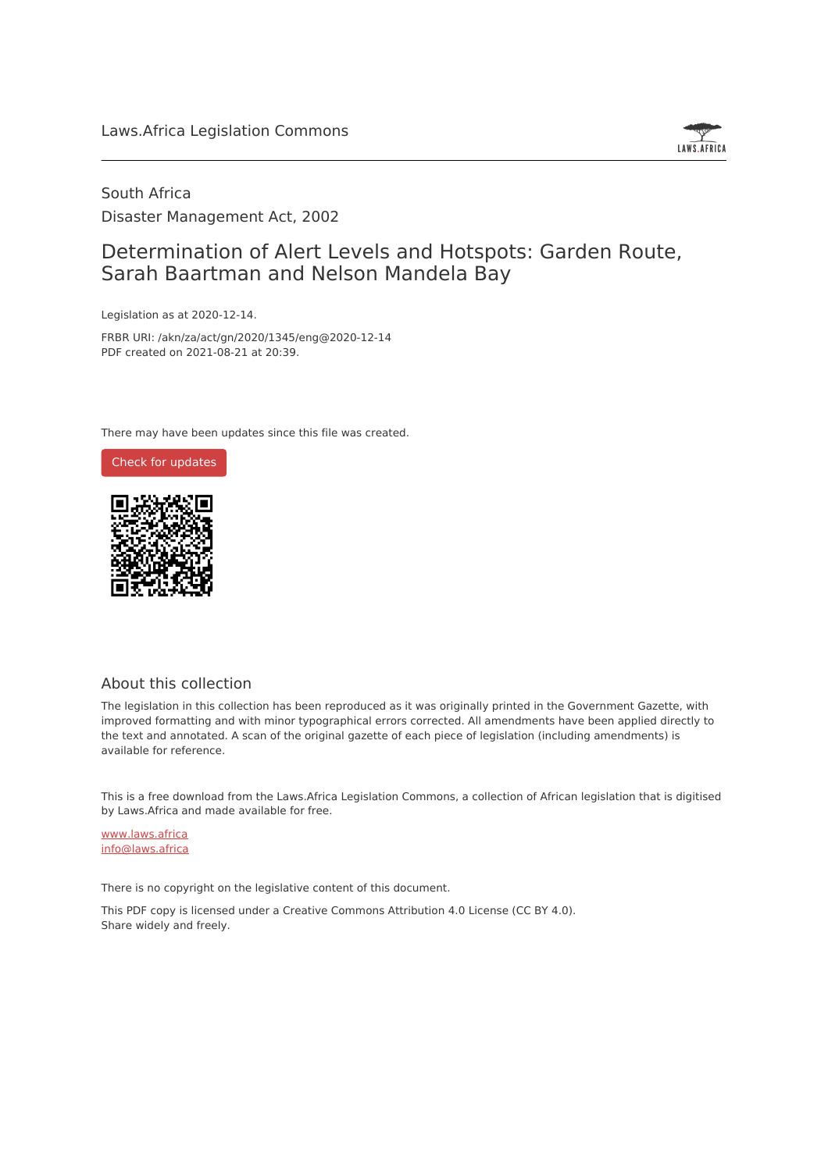

### South Africa Disaster Management Act, 2002

### Determination of Alert Levels and Hotspots: Garden Route, Sarah Baartman and Nelson Mandela Bay

Legislation as at 2020-12-14.

FRBR URI: /akn/za/act/gn/2020/1345/eng@2020-12-14 PDF created on 2021-08-21 at 20:39.

There may have been updates since this file was created.



#### About this collection

The legislation in this collection has been reproduced as it was originally printed in the Government Gazette, with improved formatting and with minor typographical errors corrected. All amendments have been applied directly to the text and annotated. A scan of the original gazette of each piece of legislation (including amendments) is available for reference.

This is a free download from the Laws.Africa Legislation Commons, a collection of African legislation that is digitised by Laws.Africa and made available for free.

[www.laws.africa](https://www.laws.africa) [info@laws.africa](mailto:info@laws.africa)

There is no copyright on the legislative content of this document.

This PDF copy is licensed under a Creative Commons Attribution 4.0 License (CC BY 4.0). Share widely and freely.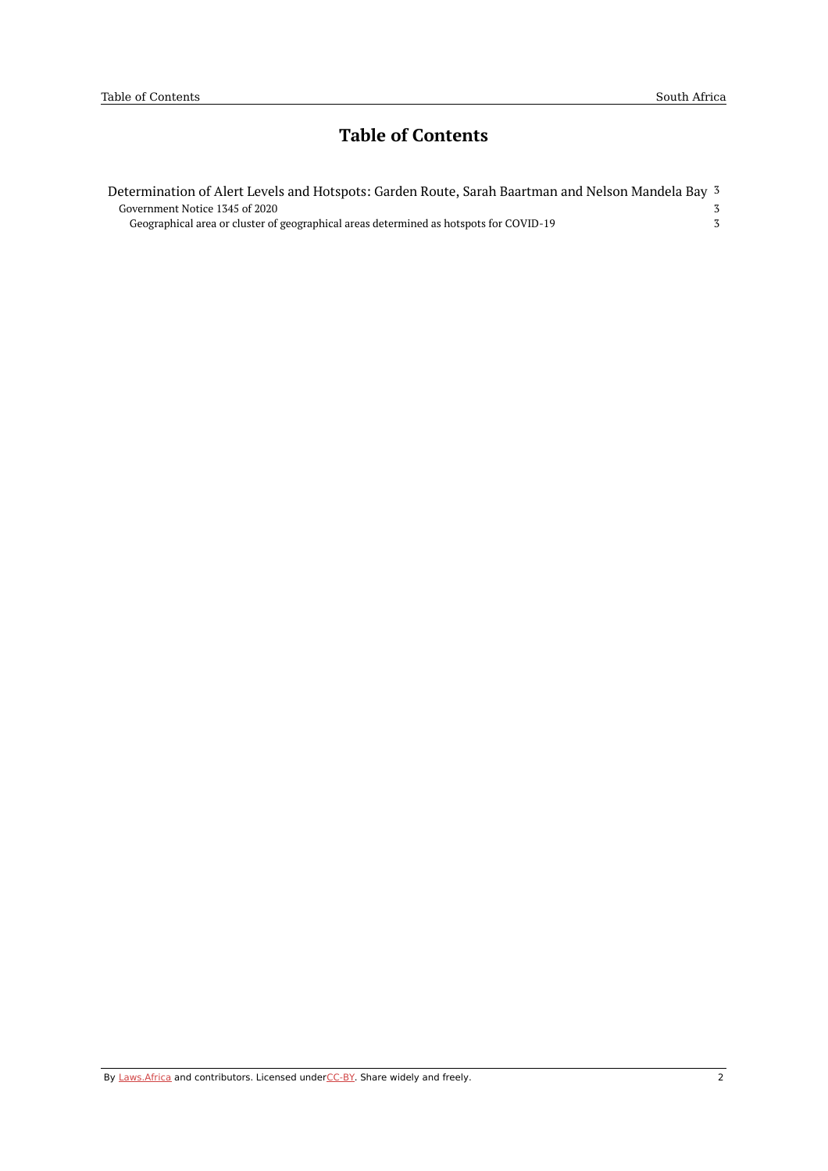# **Table of Contents**

| Determination of Alert Levels and Hotspots: Garden Route, Sarah Baartman and Nelson Mandela Bay 3 |  |
|---------------------------------------------------------------------------------------------------|--|
| Government Notice 1345 of 2020                                                                    |  |
| Geographical area or cluster of geographical areas determined as hotspots for COVID-19            |  |